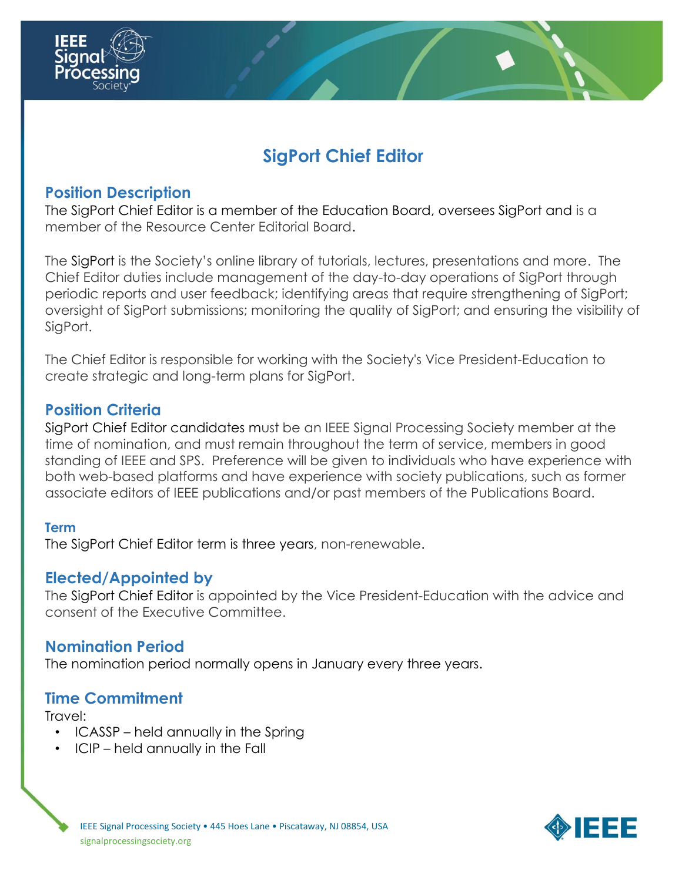

## **Position Description**

The SigPort Chief Editor is a member of the Education Board, oversees SigPort and is a member of the Resource Center Editorial Board.

The SigPort is the Society's online library of tutorials, lectures, presentations and more. The Chief Editor duties include management of the day-to-day operations of SigPort through periodic reports and user feedback; identifying areas that require strengthening of SigPort; oversight of SigPort submissions; monitoring the quality of SigPort; and ensuring the visibility of SigPort.

The Chief Editor is responsible for working with the Society's Vice President-Education to create strategic and long-term plans for SigPort.

### **Position Criteria**

SigPort Chief Editor candidates must be an IEEE Signal Processing Society member at the time of nomination, and must remain throughout the term of service, members in good standing of IEEE and SPS. Preference will be given to individuals who have experience with both web-based platforms and have experience with society publications, such as former associate editors of IEEE publications and/or past members of the Publications Board.

#### **Term**

The SigPort Chief Editor term is three years, non-renewable.

### **Elected/Appointed by**

The SigPort Chief Editor is appointed by the Vice President-Education with the advice and consent of the Executive Committee.

### **Nomination Period**

The nomination period normally opens in January every three years.

### **Time Commitment**

Travel:

- ICASSP held annually in the Spring
- ICIP held annually in the Fall

IEEE Signal Processing Society • 445 Hoes Lane • Piscataway, NJ 08854, USA signalprocessingsociety.org